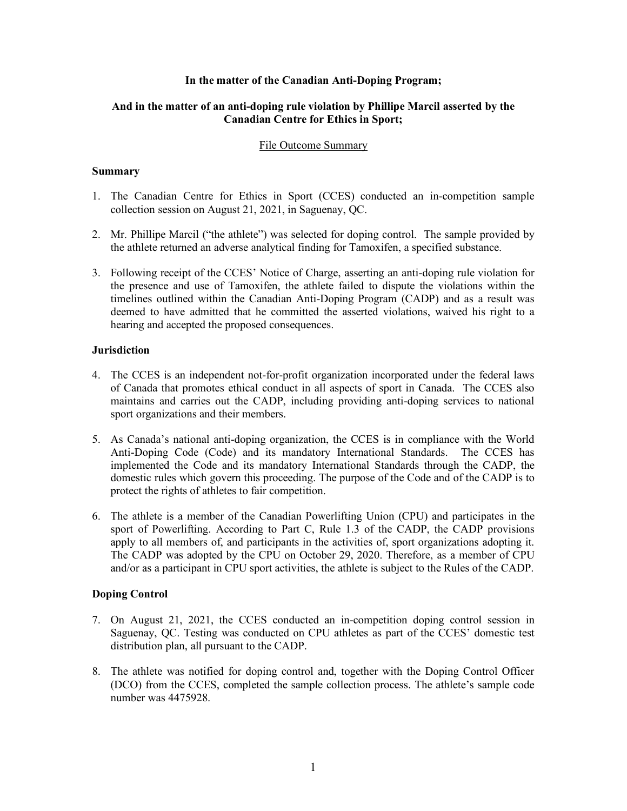### **In the matter of the Canadian Anti-Doping Program;**

# **And in the matter of an anti-doping rule violation by Phillipe Marcil asserted by the Canadian Centre for Ethics in Sport;**

### File Outcome Summary

### **Summary**

- 1. The Canadian Centre for Ethics in Sport (CCES) conducted an in-competition sample collection session on August 21, 2021, in Saguenay, QC.
- 2. Mr. Phillipe Marcil ("the athlete") was selected for doping control. The sample provided by the athlete returned an adverse analytical finding for Tamoxifen, a specified substance.
- 3. Following receipt of the CCES' Notice of Charge, asserting an anti-doping rule violation for the presence and use of Tamoxifen, the athlete failed to dispute the violations within the timelines outlined within the Canadian Anti-Doping Program (CADP) and as a result was deemed to have admitted that he committed the asserted violations, waived his right to a hearing and accepted the proposed consequences.

### **Jurisdiction**

- 4. The CCES is an independent not-for-profit organization incorporated under the federal laws of Canada that promotes ethical conduct in all aspects of sport in Canada. The CCES also maintains and carries out the CADP, including providing anti-doping services to national sport organizations and their members.
- 5. As Canada's national anti-doping organization, the CCES is in compliance with the World Anti-Doping Code (Code) and its mandatory International Standards. The CCES has implemented the Code and its mandatory International Standards through the CADP, the domestic rules which govern this proceeding. The purpose of the Code and of the CADP is to protect the rights of athletes to fair competition.
- 6. The athlete is a member of the Canadian Powerlifting Union (CPU) and participates in the sport of Powerlifting. According to Part C, Rule 1.3 of the CADP, the CADP provisions apply to all members of, and participants in the activities of, sport organizations adopting it. The CADP was adopted by the CPU on October 29, 2020. Therefore, as a member of CPU and/or as a participant in CPU sport activities, the athlete is subject to the Rules of the CADP.

# **Doping Control**

- 7. On August 21, 2021, the CCES conducted an in-competition doping control session in Saguenay, QC. Testing was conducted on CPU athletes as part of the CCES' domestic test distribution plan, all pursuant to the CADP.
- 8. The athlete was notified for doping control and, together with the Doping Control Officer (DCO) from the CCES, completed the sample collection process. The athlete's sample code number was 4475928.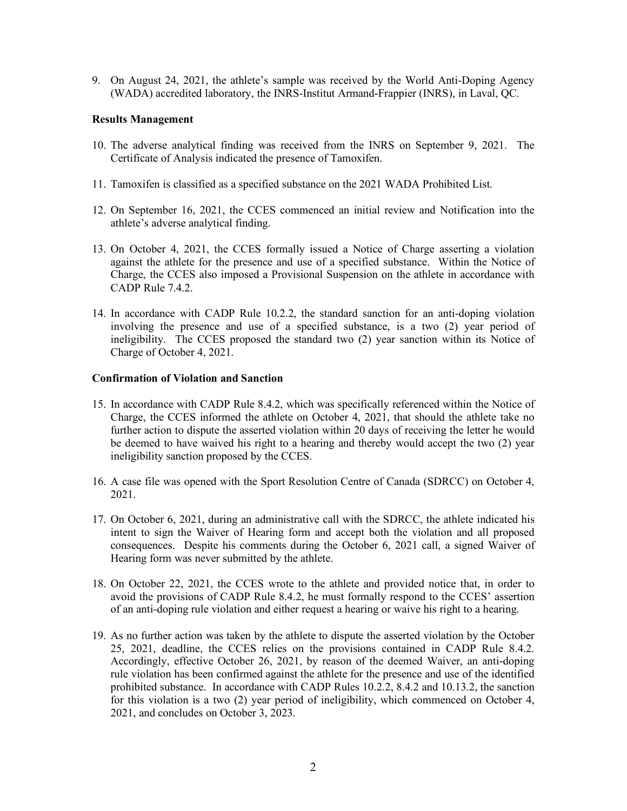9. On August 24, 2021, the athlete's sample was received by the World Anti-Doping Agency (WADA) accredited laboratory, the INRS-Institut Armand-Frappier (INRS), in Laval, QC.

#### **Results Management**

- 10. The adverse analytical finding was received from the INRS on September 9, 2021. The Certificate of Analysis indicated the presence of Tamoxifen.
- 11. Tamoxifen is classified as a specified substance on the 2021 WADA Prohibited List.
- 12. On September 16, 2021, the CCES commenced an initial review and Notification into the athlete's adverse analytical finding.
- 13. On October 4, 2021, the CCES formally issued a Notice of Charge asserting a violation against the athlete for the presence and use of a specified substance. Within the Notice of Charge, the CCES also imposed a Provisional Suspension on the athlete in accordance with CADP Rule 7.4.2.
- 14. In accordance with CADP Rule 10.2.2, the standard sanction for an anti-doping violation involving the presence and use of a specified substance, is a two (2) year period of ineligibility. The CCES proposed the standard two (2) year sanction within its Notice of Charge of October 4, 2021.

#### **Confirmation of Violation and Sanction**

- 15. In accordance with CADP Rule 8.4.2, which was specifically referenced within the Notice of Charge, the CCES informed the athlete on October 4, 2021, that should the athlete take no further action to dispute the asserted violation within 20 days of receiving the letter he would be deemed to have waived his right to a hearing and thereby would accept the two (2) year ineligibility sanction proposed by the CCES.
- 16. A case file was opened with the Sport Resolution Centre of Canada (SDRCC) on October 4, 2021.
- 17. On October 6, 2021, during an administrative call with the SDRCC, the athlete indicated his intent to sign the Waiver of Hearing form and accept both the violation and all proposed consequences. Despite his comments during the October 6, 2021 call, a signed Waiver of Hearing form was never submitted by the athlete.
- 18. On October 22, 2021, the CCES wrote to the athlete and provided notice that, in order to avoid the provisions of CADP Rule 8.4.2, he must formally respond to the CCES' assertion of an anti-doping rule violation and either request a hearing or waive his right to a hearing.
- 19. As no further action was taken by the athlete to dispute the asserted violation by the October 25, 2021, deadline, the CCES relies on the provisions contained in CADP Rule 8.4.2. Accordingly, effective October 26, 2021, by reason of the deemed Waiver, an anti-doping rule violation has been confirmed against the athlete for the presence and use of the identified prohibited substance. In accordance with CADP Rules 10.2.2, 8.4.2 and 10.13.2, the sanction for this violation is a two (2) year period of ineligibility, which commenced on October 4, 2021, and concludes on October 3, 2023.